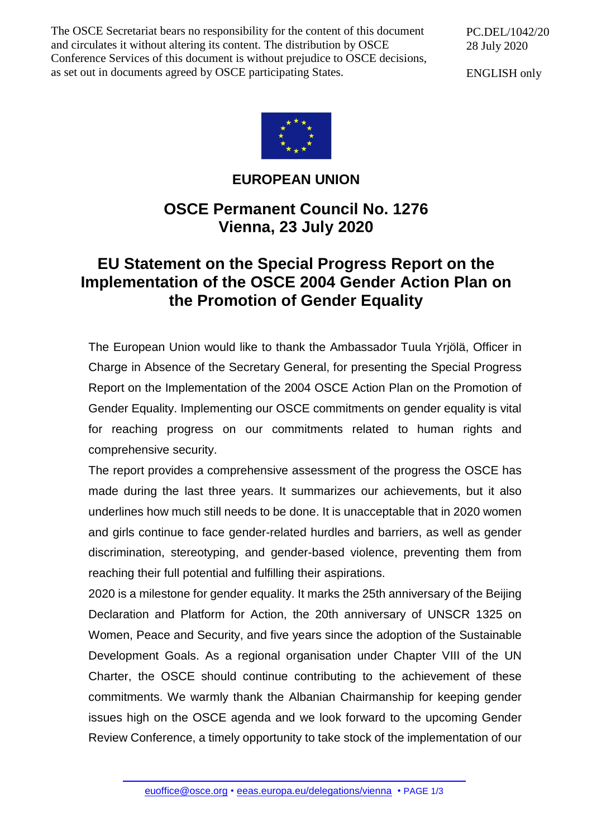The OSCE Secretariat bears no responsibility for the content of this document and circulates it without altering its content. The distribution by OSCE Conference Services of this document is without prejudice to OSCE decisions, as set out in documents agreed by OSCE participating States.

PC.DEL/1042/20 28 July 2020

ENGLISH only



## **EUROPEAN UNION**

## **OSCE Permanent Council No. 1276 Vienna, 23 July 2020**

## **EU Statement on the Special Progress Report on the Implementation of the OSCE 2004 Gender Action Plan on the Promotion of Gender Equality**

The European Union would like to thank the Ambassador Tuula Yrjölä, Officer in Charge in Absence of the Secretary General, for presenting the Special Progress Report on the Implementation of the 2004 OSCE Action Plan on the Promotion of Gender Equality. Implementing our OSCE commitments on gender equality is vital for reaching progress on our commitments related to human rights and comprehensive security.

The report provides a comprehensive assessment of the progress the OSCE has made during the last three years. It summarizes our achievements, but it also underlines how much still needs to be done. It is unacceptable that in 2020 women and girls continue to face gender-related hurdles and barriers, as well as gender discrimination, stereotyping, and gender-based violence, preventing them from reaching their full potential and fulfilling their aspirations.

2020 is a milestone for gender equality. It marks the 25th anniversary of the Beijing Declaration and Platform for Action, the 20th anniversary of UNSCR 1325 on Women, Peace and Security, and five years since the adoption of the Sustainable Development Goals. As a regional organisation under Chapter VIII of the UN Charter, the OSCE should continue contributing to the achievement of these commitments. We warmly thank the Albanian Chairmanship for keeping gender issues high on the OSCE agenda and we look forward to the upcoming Gender Review Conference, a timely opportunity to take stock of the implementation of our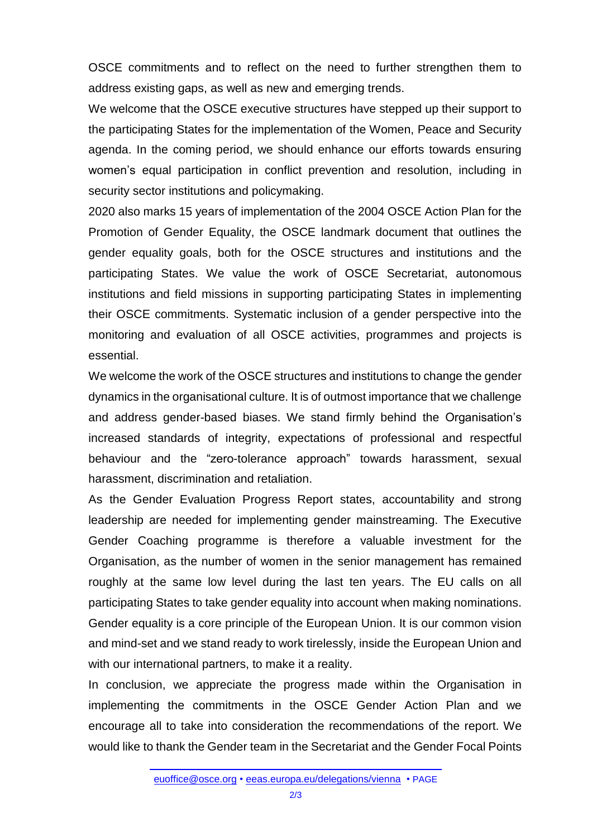OSCE commitments and to reflect on the need to further strengthen them to address existing gaps, as well as new and emerging trends.

We welcome that the OSCE executive structures have stepped up their support to the participating States for the implementation of the Women, Peace and Security agenda. In the coming period, we should enhance our efforts towards ensuring women's equal participation in conflict prevention and resolution, including in security sector institutions and policymaking.

2020 also marks 15 years of implementation of the 2004 OSCE Action Plan for the Promotion of Gender Equality, the OSCE landmark document that outlines the gender equality goals, both for the OSCE structures and institutions and the participating States. We value the work of OSCE Secretariat, autonomous institutions and field missions in supporting participating States in implementing their OSCE commitments. Systematic inclusion of a gender perspective into the monitoring and evaluation of all OSCE activities, programmes and projects is essential.

We welcome the work of the OSCE structures and institutions to change the gender dynamics in the organisational culture. It is of outmost importance that we challenge and address gender-based biases. We stand firmly behind the Organisation's increased standards of integrity, expectations of professional and respectful behaviour and the "zero-tolerance approach" towards harassment, sexual harassment, discrimination and retaliation.

As the Gender Evaluation Progress Report states, accountability and strong leadership are needed for implementing gender mainstreaming. The Executive Gender Coaching programme is therefore a valuable investment for the Organisation, as the number of women in the senior management has remained roughly at the same low level during the last ten years. The EU calls on all participating States to take gender equality into account when making nominations. Gender equality is a core principle of the European Union. It is our common vision and mind-set and we stand ready to work tirelessly, inside the European Union and with our international partners, to make it a reality.

In conclusion, we appreciate the progress made within the Organisation in implementing the commitments in the OSCE Gender Action Plan and we encourage all to take into consideration the recommendations of the report. We would like to thank the Gender team in the Secretariat and the Gender Focal Points